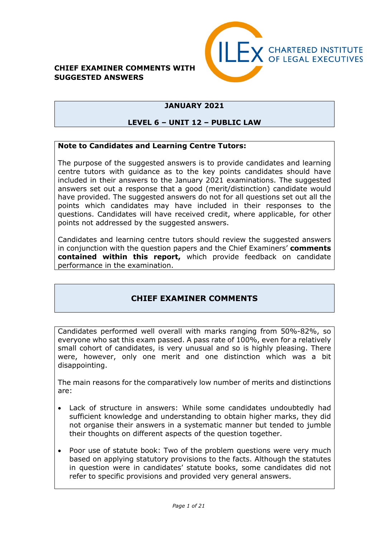#### **CHIEF EXAMINER COMMENTS WITH SUGGESTED ANSWERS**



# **JANUARY 2021**

#### **LEVEL 6 – UNIT 12 – PUBLIC LAW**

#### **Note to Candidates and Learning Centre Tutors:**

The purpose of the suggested answers is to provide candidates and learning centre tutors with guidance as to the key points candidates should have included in their answers to the January 2021 examinations. The suggested answers set out a response that a good (merit/distinction) candidate would have provided. The suggested answers do not for all questions set out all the points which candidates may have included in their responses to the questions. Candidates will have received credit, where applicable, for other points not addressed by the suggested answers.

Candidates and learning centre tutors should review the suggested answers in conjunction with the question papers and the Chief Examiners' **comments contained within this report,** which provide feedback on candidate performance in the examination.

# **CHIEF EXAMINER COMMENTS**

Candidates performed well overall with marks ranging from 50%-82%, so everyone who sat this exam passed. A pass rate of 100%, even for a relatively small cohort of candidates, is very unusual and so is highly pleasing. There were, however, only one merit and one distinction which was a bit disappointing.

The main reasons for the comparatively low number of merits and distinctions are:

- Lack of structure in answers: While some candidates undoubtedly had sufficient knowledge and understanding to obtain higher marks, they did not organise their answers in a systematic manner but tended to jumble their thoughts on different aspects of the question together.
- Poor use of statute book: Two of the problem questions were very much based on applying statutory provisions to the facts. Although the statutes in question were in candidates' statute books, some candidates did not refer to specific provisions and provided very general answers.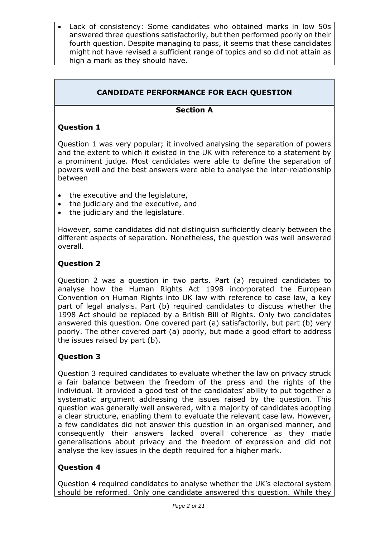• Lack of consistency: Some candidates who obtained marks in low 50s answered three questions satisfactorily, but then performed poorly on their fourth question. Despite managing to pass, it seems that these candidates might not have revised a sufficient range of topics and so did not attain as high a mark as they should have.

# **CANDIDATE PERFORMANCE FOR EACH QUESTION**

# **Section A**

### **Question 1**

Question 1 was very popular; it involved analysing the separation of powers and the extent to which it existed in the UK with reference to a statement by a prominent judge. Most candidates were able to define the separation of powers well and the best answers were able to analyse the inter-relationship between

- the executive and the legislature,
- the judiciary and the executive, and
- the judiciary and the legislature.

However, some candidates did not distinguish sufficiently clearly between the different aspects of separation. Nonetheless, the question was well answered overall.

### **Question 2**

Question 2 was a question in two parts. Part (a) required candidates to analyse how the Human Rights Act 1998 incorporated the European Convention on Human Rights into UK law with reference to case law, a key part of legal analysis. Part (b) required candidates to discuss whether the 1998 Act should be replaced by a British Bill of Rights. Only two candidates answered this question. One covered part (a) satisfactorily, but part (b) very poorly. The other covered part (a) poorly, but made a good effort to address the issues raised by part (b).

# **Question 3**

Question 3 required candidates to evaluate whether the law on privacy struck a fair balance between the freedom of the press and the rights of the individual. It provided a good test of the candidates' ability to put together a systematic argument addressing the issues raised by the question. This question was generally well answered, with a majority of candidates adopting a clear structure, enabling them to evaluate the relevant case law. However, a few candidates did not answer this question in an organised manner, and consequently their answers lacked overall coherence as they made generalisations about privacy and the freedom of expression and did not analyse the key issues in the depth required for a higher mark.

#### **Question 4**

Question 4 required candidates to analyse whether the UK's electoral system should be reformed. Only one candidate answered this question. While they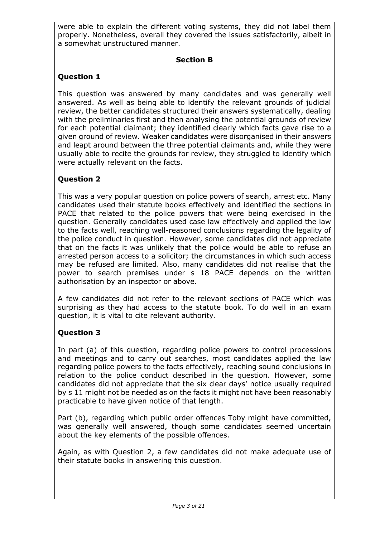were able to explain the different voting systems, they did not label them properly. Nonetheless, overall they covered the issues satisfactorily, albeit in a somewhat unstructured manner.

# **Section B**

# **Question 1**

This question was answered by many candidates and was generally well answered. As well as being able to identify the relevant grounds of judicial review, the better candidates structured their answers systematically, dealing with the preliminaries first and then analysing the potential grounds of review for each potential claimant; they identified clearly which facts gave rise to a given ground of review. Weaker candidates were disorganised in their answers and leapt around between the three potential claimants and, while they were usually able to recite the grounds for review, they struggled to identify which were actually relevant on the facts.

# **Question 2**

This was a very popular question on police powers of search, arrest etc. Many candidates used their statute books effectively and identified the sections in PACE that related to the police powers that were being exercised in the question. Generally candidates used case law effectively and applied the law to the facts well, reaching well-reasoned conclusions regarding the legality of the police conduct in question. However, some candidates did not appreciate that on the facts it was unlikely that the police would be able to refuse an arrested person access to a solicitor; the circumstances in which such access may be refused are limited. Also, many candidates did not realise that the power to search premises under s 18 PACE depends on the written authorisation by an inspector or above.

A few candidates did not refer to the relevant sections of PACE which was surprising as they had access to the statute book. To do well in an exam question, it is vital to cite relevant authority.

# **Question 3**

In part (a) of this question, regarding police powers to control processions and meetings and to carry out searches, most candidates applied the law regarding police powers to the facts effectively, reaching sound conclusions in relation to the police conduct described in the question. However, some candidates did not appreciate that the six clear days' notice usually required by s 11 might not be needed as on the facts it might not have been reasonably practicable to have given notice of that length.

Part (b), regarding which public order offences Toby might have committed, was generally well answered, though some candidates seemed uncertain about the key elements of the possible offences.

Again, as with Question 2, a few candidates did not make adequate use of their statute books in answering this question.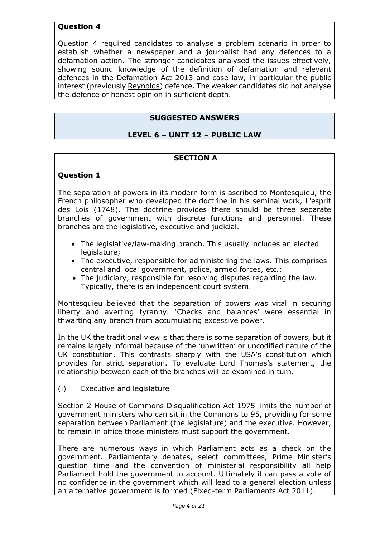### **Question 4**

Question 4 required candidates to analyse a problem scenario in order to establish whether a newspaper and a journalist had any defences to a defamation action. The stronger candidates analysed the issues effectively, showing sound knowledge of the definition of defamation and relevant defences in the Defamation Act 2013 and case law, in particular the public interest (previously Reynolds) defence. The weaker candidates did not analyse the defence of honest opinion in sufficient depth.

### **SUGGESTED ANSWERS**

#### **LEVEL 6 – UNIT 12 – PUBLIC LAW**

#### **SECTION A**

#### **Question 1**

The separation of powers in its modern form is ascribed to Montesquieu, the French philosopher who developed the doctrine in his seminal work, L'esprit des Lois (1748). The doctrine provides there should be three separate branches of government with discrete functions and personnel. These branches are the legislative, executive and judicial.

- The legislative/law-making branch. This usually includes an elected legislature;
- The executive, responsible for administering the laws. This comprises central and local government, police, armed forces, etc.;
- The judiciary, responsible for resolving disputes regarding the law. Typically, there is an independent court system.

Montesquieu believed that the separation of powers was vital in securing liberty and averting tyranny. 'Checks and balances' were essential in thwarting any branch from accumulating excessive power.

In the UK the traditional view is that there is some separation of powers, but it remains largely informal because of the 'unwritten' or uncodified nature of the UK constitution. This contrasts sharply with the USA's constitution which provides for strict separation. To evaluate Lord Thomas's statement, the relationship between each of the branches will be examined in turn.

(i) Executive and legislature

Section 2 House of Commons Disqualification Act 1975 limits the number of government ministers who can sit in the Commons to 95, providing for some separation between Parliament (the legislature) and the executive. However, to remain in office those ministers must support the government.

There are numerous ways in which Parliament acts as a check on the government. Parliamentary debates, select committees, Prime Minister's question time and the convention of ministerial responsibility all help Parliament hold the government to account. Ultimately it can pass a vote of no confidence in the government which will lead to a general election unless an alternative government is formed (Fixed-term Parliaments Act 2011).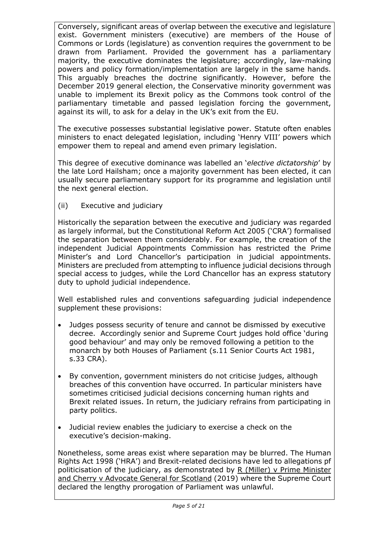Conversely, significant areas of overlap between the executive and legislature exist. Government ministers (executive) are members of the House of Commons or Lords (legislature) as convention requires the government to be drawn from Parliament. Provided the government has a parliamentary majority, the executive dominates the legislature; accordingly, law-making powers and policy formation/implementation are largely in the same hands. This arguably breaches the doctrine significantly. However, before the December 2019 general election, the Conservative minority government was unable to implement its Brexit policy as the Commons took control of the parliamentary timetable and passed legislation forcing the government, against its will, to ask for a delay in the UK's exit from the EU.

The executive possesses substantial legislative power. Statute often enables ministers to enact delegated legislation, including 'Henry VIII' powers which empower them to repeal and amend even primary legislation.

This degree of executive dominance was labelled an '*elective dictatorship*' by the late Lord Hailsham; once a majority government has been elected, it can usually secure parliamentary support for its programme and legislation until the next general election.

(ii) Executive and judiciary

Historically the separation between the executive and judiciary was regarded as largely informal, but the Constitutional Reform Act 2005 ('CRA') formalised the separation between them considerably. For example, the creation of the independent Judicial Appointments Commission has restricted the Prime Minister's and Lord Chancellor's participation in judicial appointments. Ministers are precluded from attempting to influence judicial decisions through special access to judges, while the Lord Chancellor has an express statutory duty to uphold judicial independence.

Well established rules and conventions safeguarding judicial independence supplement these provisions:

- Judges possess security of tenure and cannot be dismissed by executive decree. Accordingly senior and Supreme Court judges hold office 'during good behaviour' and may only be removed following a petition to the monarch by both Houses of Parliament (s.11 Senior Courts Act 1981, s.33 CRA).
- By convention, government ministers do not criticise judges, although breaches of this convention have occurred. In particular ministers have sometimes criticised judicial decisions concerning human rights and Brexit related issues. In return, the judiciary refrains from participating in party politics.
- Judicial review enables the judiciary to exercise a check on the executive's decision-making.

Nonetheless, some areas exist where separation may be blurred. The Human Rights Act 1998 ('HRA') and Brexit-related decisions have led to allegations pf politicisation of the judiciary, as demonstrated by  $R$  (Miller) v Prime Minister and Cherry v Advocate General for Scotland (2019) where the Supreme Court declared the lengthy prorogation of Parliament was unlawful.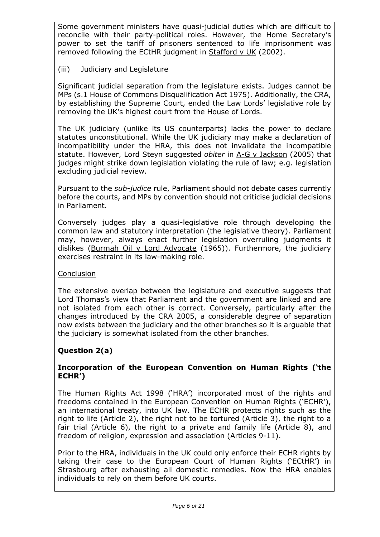Some government ministers have quasi-judicial duties which are difficult to reconcile with their party-political roles. However, the Home Secretary's power to set the tariff of prisoners sentenced to life imprisonment was removed following the ECtHR judgment in Stafford v UK (2002).

# (iii) Judiciary and Legislature

Significant judicial separation from the legislature exists. Judges cannot be MPs (s.1 House of Commons Disqualification Act 1975). Additionally, the CRA, by establishing the Supreme Court, ended the Law Lords' legislative role by removing the UK's highest court from the House of Lords.

The UK judiciary (unlike its US counterparts) lacks the power to declare statutes unconstitutional. While the UK judiciary may make a declaration of incompatibility under the HRA, this does not invalidate the incompatible statute. However, Lord Steyn suggested *obiter* in A-G v Jackson (2005) that judges might strike down legislation violating the rule of law; e.g. legislation excluding judicial review.

Pursuant to the *sub-judice* rule, Parliament should not debate cases currently before the courts, and MPs by convention should not criticise judicial decisions in Parliament.

Conversely judges play a quasi-legislative role through developing the common law and statutory interpretation (the legislative theory). Parliament may, however, always enact further legislation overruling judgments it dislikes (Burmah Oil v Lord Advocate (1965)). Furthermore, the judiciary exercises restraint in its law-making role.

#### Conclusion

The extensive overlap between the legislature and executive suggests that Lord Thomas's view that Parliament and the government are linked and are not isolated from each other is correct. Conversely, particularly after the changes introduced by the CRA 2005, a considerable degree of separation now exists between the judiciary and the other branches so it is arguable that the judiciary is somewhat isolated from the other branches.

# **Question 2(a)**

#### **Incorporation of the European Convention on Human Rights ('the ECHR')**

The Human Rights Act 1998 ('HRA') incorporated most of the rights and freedoms contained in the European Convention on Human Rights ('ECHR'), an international treaty, into UK law. The ECHR protects rights such as the right to life (Article 2), the right not to be tortured (Article 3), the right to a fair trial (Article 6), the right to a private and family life (Article 8), and freedom of religion, expression and association (Articles 9-11).

Prior to the HRA, individuals in the UK could only enforce their ECHR rights by taking their case to the European Court of Human Rights ('ECtHR') in Strasbourg after exhausting all domestic remedies. Now the HRA enables individuals to rely on them before UK courts.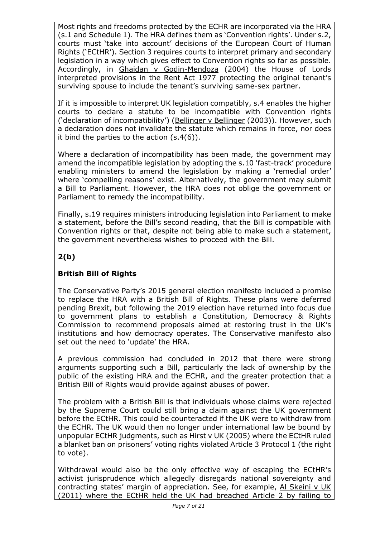Most rights and freedoms protected by the ECHR are incorporated via the HRA (s.1 and Schedule 1). The HRA defines them as 'Convention rights'. Under s.2, courts must 'take into account' decisions of the European Court of Human Rights ('ECtHR'). Section 3 requires courts to interpret primary and secondary legislation in a way which gives effect to Convention rights so far as possible. Accordingly, in Ghaidan v Godin-Mendoza (2004) the House of Lords interpreted provisions in the Rent Act 1977 protecting the original tenant's surviving spouse to include the tenant's surviving same-sex partner.

If it is impossible to interpret UK legislation compatibly, s.4 enables the higher courts to declare a statute to be incompatible with Convention rights ('declaration of incompatibility') (Bellinger v Bellinger (2003)). However, such a declaration does not invalidate the statute which remains in force, nor does it bind the parties to the action (s.4(6)).

Where a declaration of incompatibility has been made, the government may amend the incompatible legislation by adopting the s.10 'fast-track' procedure enabling ministers to amend the legislation by making a 'remedial order' where 'compelling reasons' exist. Alternatively, the government may submit a Bill to Parliament. However, the HRA does not oblige the government or Parliament to remedy the incompatibility.

Finally, s.19 requires ministers introducing legislation into Parliament to make a statement, before the Bill's second reading, that the Bill is compatible with Convention rights or that, despite not being able to make such a statement, the government nevertheless wishes to proceed with the Bill.

# **2(b)**

# **British Bill of Rights**

The Conservative Party's 2015 general election manifesto included a promise to replace the HRA with a British Bill of Rights. These plans were deferred pending Brexit, but following the 2019 election have returned into focus due to government plans to establish a Constitution, Democracy & Rights Commission to recommend proposals aimed at restoring trust in the UK's institutions and how democracy operates. The Conservative manifesto also set out the need to 'update' the HRA.

A previous commission had concluded in 2012 that there were strong arguments supporting such a Bill, particularly the lack of ownership by the public of the existing HRA and the ECHR, and the greater protection that a British Bill of Rights would provide against abuses of power.

The problem with a British Bill is that individuals whose claims were rejected by the Supreme Court could still bring a claim against the UK government before the ECtHR. This could be counteracted if the UK were to withdraw from the ECHR. The UK would then no longer under international law be bound by unpopular ECtHR judgments, such as Hirst v UK (2005) where the ECtHR ruled a blanket ban on prisoners' voting rights violated Article 3 Protocol 1 (the right to vote).

Withdrawal would also be the only effective way of escaping the ECtHR's activist jurisprudence which allegedly disregards national sovereignty and contracting states' margin of appreciation. See, for example, Al Skeini v UK (2011) where the ECtHR held the UK had breached Article 2 by failing to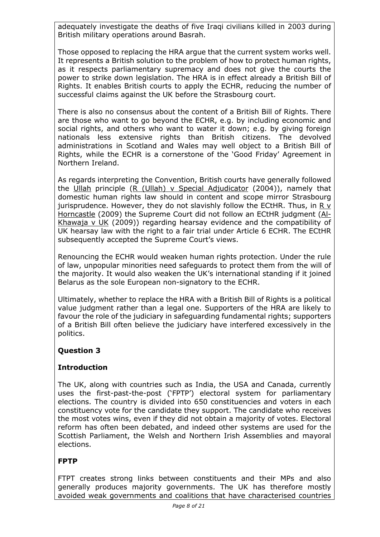adequately investigate the deaths of five Iraqi civilians killed in 2003 during British military operations around Basrah.

Those opposed to replacing the HRA argue that the current system works well. It represents a British solution to the problem of how to protect human rights, as it respects parliamentary supremacy and does not give the courts the power to strike down legislation. The HRA is in effect already a British Bill of Rights. It enables British courts to apply the ECHR, reducing the number of successful claims against the UK before the Strasbourg court.

There is also no consensus about the content of a British Bill of Rights. There are those who want to go beyond the ECHR, e.g. by including economic and social rights, and others who want to water it down; e.g. by giving foreign nationals less extensive rights than British citizens. The devolved administrations in Scotland and Wales may well object to a British Bill of Rights, while the ECHR is a cornerstone of the 'Good Friday' Agreement in Northern Ireland.

As regards interpreting the Convention, British courts have generally followed the Ullah principle (R (Ullah) v Special Adjudicator (2004)), namely that domestic human rights law should in content and scope mirror Strasbourg jurisprudence. However, they do not slavishly follow the ECtHR. Thus, in R v Horncastle (2009) the Supreme Court did not follow an ECtHR judgment (Al-Khawaja v UK (2009)) regarding hearsay evidence and the compatibility of UK hearsay law with the right to a fair trial under Article 6 ECHR. The ECtHR subsequently accepted the Supreme Court's views.

Renouncing the ECHR would weaken human rights protection. Under the rule of law, unpopular minorities need safeguards to protect them from the will of the majority. It would also weaken the UK's international standing if it joined Belarus as the sole European non-signatory to the ECHR.

Ultimately, whether to replace the HRA with a British Bill of Rights is a political value judgment rather than a legal one. Supporters of the HRA are likely to favour the role of the judiciary in safeguarding fundamental rights; supporters of a British Bill often believe the judiciary have interfered excessively in the politics.

# **Question 3**

# **Introduction**

The UK, along with countries such as India, the USA and Canada, currently uses the first-past-the-post ('FPTP') electoral system for parliamentary elections. The country is divided into 650 constituencies and voters in each constituency vote for the candidate they support. The candidate who receives the most votes wins, even if they did not obtain a majority of votes. Electoral reform has often been debated, and indeed other systems are used for the Scottish Parliament, the Welsh and Northern Irish Assemblies and mayoral elections.

# **FPTP**

FTPT creates strong links between constituents and their MPs and also generally produces majority governments. The UK has therefore mostly avoided weak governments and coalitions that have characterised countries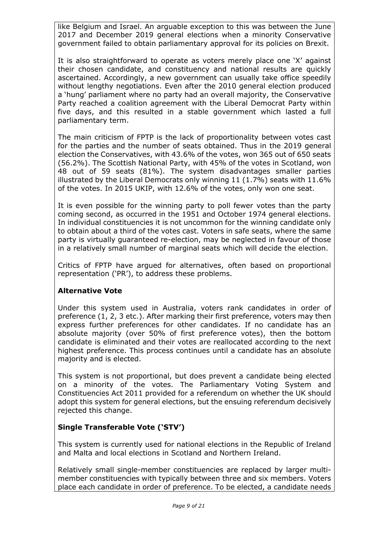like Belgium and Israel. An arguable exception to this was between the June 2017 and December 2019 general elections when a minority Conservative government failed to obtain parliamentary approval for its policies on Brexit.

It is also straightforward to operate as voters merely place one 'X' against their chosen candidate, and constituency and national results are quickly ascertained. Accordingly, a new government can usually take office speedily without lengthy negotiations. Even after the 2010 general election produced a 'hung' parliament where no party had an overall majority, the Conservative Party reached a coalition agreement with the Liberal Democrat Party within five days, and this resulted in a stable government which lasted a full parliamentary term.

The main criticism of FPTP is the lack of proportionality between votes cast for the parties and the number of seats obtained. Thus in the 2019 general election the Conservatives, with 43.6% of the votes, won 365 out of 650 seats (56.2%). The Scottish National Party, with 45% of the votes in Scotland, won 48 out of 59 seats (81%). The system disadvantages smaller parties illustrated by the Liberal Democrats only winning 11 (1.7%) seats with 11.6% of the votes. In 2015 UKIP, with 12.6% of the votes, only won one seat.

It is even possible for the winning party to poll fewer votes than the party coming second, as occurred in the 1951 and October 1974 general elections. In individual constituencies it is not uncommon for the winning candidate only to obtain about a third of the votes cast. Voters in safe seats, where the same party is virtually guaranteed re-election, may be neglected in favour of those in a relatively small number of marginal seats which will decide the election.

Critics of FPTP have argued for alternatives, often based on proportional representation ('PR'), to address these problems.

# **Alternative Vote**

Under this system used in Australia, voters rank candidates in order of preference (1, 2, 3 etc.). After marking their first preference, voters may then express further preferences for other candidates. If no candidate has an absolute majority (over 50% of first preference votes), then the bottom candidate is eliminated and their votes are reallocated according to the next highest preference. This process continues until a candidate has an absolute majority and is elected.

This system is not proportional, but does prevent a candidate being elected on a minority of the votes. The Parliamentary Voting System and Constituencies Act 2011 provided for a referendum on whether the UK should adopt this system for general elections, but the ensuing referendum decisively rejected this change.

# **Single Transferable Vote ('STV')**

This system is currently used for national elections in the Republic of Ireland and Malta and local elections in Scotland and Northern Ireland.

Relatively small single-member constituencies are replaced by larger multimember constituencies with typically between three and six members. Voters place each candidate in order of preference. To be elected, a candidate needs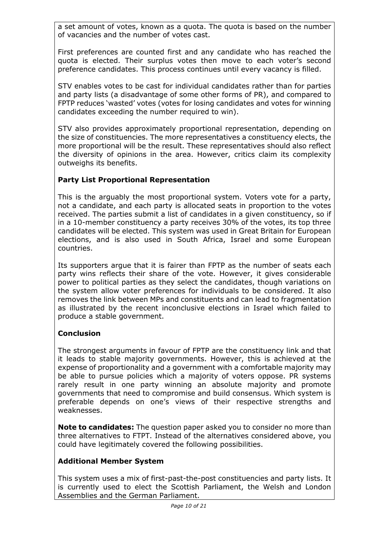a set amount of votes, known as a quota. The quota is based on the number of vacancies and the number of votes cast.

First preferences are counted first and any candidate who has reached the quota is elected. Their surplus votes then move to each voter's second preference candidates. This process continues until every vacancy is filled.

STV enables votes to be cast for individual candidates rather than for parties and party lists (a disadvantage of some other forms of PR), and compared to FPTP reduces 'wasted' votes (votes for losing candidates and votes for winning candidates exceeding the number required to win).

STV also provides approximately proportional representation, depending on the size of constituencies. The more representatives a constituency elects, the more proportional will be the result. These representatives should also reflect the diversity of opinions in the area. However, critics claim its complexity outweighs its benefits.

# **Party List Proportional Representation**

This is the arguably the most proportional system. Voters vote for a party, not a candidate, and each party is allocated seats in proportion to the votes received. The parties submit a list of candidates in a given constituency, so if in a 10-member constituency a party receives 30% of the votes, its top three candidates will be elected. This system was used in Great Britain for European elections, and is also used in South Africa, Israel and some European countries.

Its supporters argue that it is fairer than FPTP as the number of seats each party wins reflects their share of the vote. However, it gives considerable power to political parties as they select the candidates, though variations on the system allow voter preferences for individuals to be considered. It also removes the link between MPs and constituents and can lead to fragmentation as illustrated by the recent inconclusive elections in Israel which failed to produce a stable government.

# **Conclusion**

The strongest arguments in favour of FPTP are the constituency link and that it leads to stable majority governments. However, this is achieved at the expense of proportionality and a government with a comfortable majority may be able to pursue policies which a majority of voters oppose. PR systems rarely result in one party winning an absolute majority and promote governments that need to compromise and build consensus. Which system is preferable depends on one's views of their respective strengths and weaknesses.

**Note to candidates:** The question paper asked you to consider no more than three alternatives to FTPT. Instead of the alternatives considered above, you could have legitimately covered the following possibilities.

#### **Additional Member System**

This system uses a mix of first-past-the-post constituencies and party lists. It is currently used to elect the Scottish Parliament, the Welsh and London Assemblies and the German Parliament.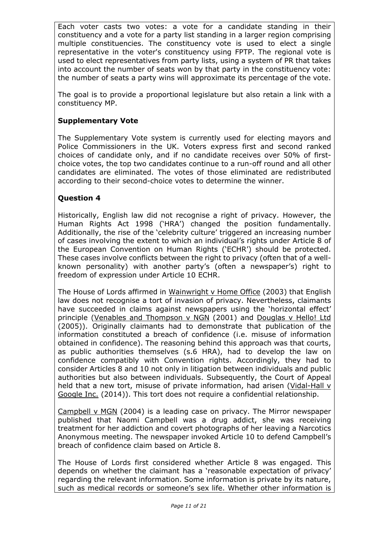Each voter casts two votes: a vote for a candidate standing in their constituency and a vote for a party list standing in a larger region comprising multiple constituencies. The constituency vote is used to elect a single representative in the voter's constituency using FPTP. The regional vote is used to elect representatives from party lists, using a system of PR that takes into account the number of seats won by that party in the constituency vote: the number of seats a party wins will approximate its percentage of the vote.

The goal is to provide a proportional legislature but also retain a link with a constituency MP.

### **Supplementary Vote**

The Supplementary Vote system is currently used for electing mayors and Police Commissioners in the UK. Voters express first and second ranked choices of candidate only, and if no candidate receives over 50% of firstchoice votes, the top two candidates continue to a run-off round and all other candidates are eliminated. The votes of those eliminated are redistributed according to their second-choice votes to determine the winner.

### **Question 4**

Historically, English law did not recognise a right of privacy. However, the Human Rights Act 1998 ('HRA') changed the position fundamentally. Additionally, the rise of the 'celebrity culture' triggered an increasing number of cases involving the extent to which an individual's rights under Article 8 of the European Convention on Human Rights ('ECHR') should be protected. These cases involve conflicts between the right to privacy (often that of a wellknown personality) with another party's (often a newspaper's) right to freedom of expression under Article 10 ECHR.

The House of Lords affirmed in Wainwright v Home Office (2003) that English law does not recognise a tort of invasion of privacy. Nevertheless, claimants have succeeded in claims against newspapers using the 'horizontal effect' principle (Venables and Thompson v NGN (2001) and Douglas v Hello! Ltd (2005)). Originally claimants had to demonstrate that publication of the information constituted a breach of confidence (i.e. misuse of information obtained in confidence). The reasoning behind this approach was that courts, as public authorities themselves (s.6 HRA), had to develop the law on confidence compatibly with Convention rights. Accordingly, they had to consider Articles 8 and 10 not only in litigation between individuals and public authorities but also between individuals. Subsequently, the Court of Appeal held that a new tort, misuse of private information, had arisen (Vidal-Hall v Google Inc. (2014)). This tort does not require a confidential relationship.

Campbell v MGN (2004) is a leading case on privacy. The Mirror newspaper published that Naomi Campbell was a drug addict, she was receiving treatment for her addiction and covert photographs of her leaving a Narcotics Anonymous meeting. The newspaper invoked Article 10 to defend Campbell's breach of confidence claim based on Article 8.

The House of Lords first considered whether Article 8 was engaged. This depends on whether the claimant has a 'reasonable expectation of privacy' regarding the relevant information. Some information is private by its nature, such as medical records or someone's sex life. Whether other information is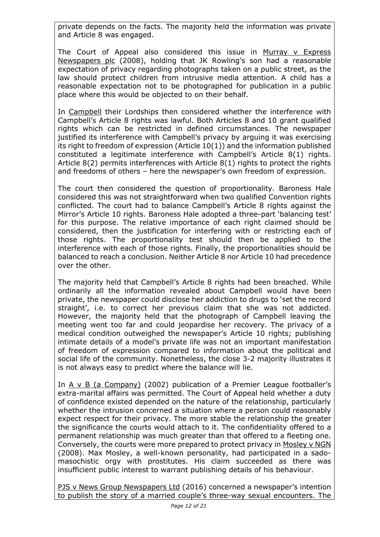private depends on the facts. The majority held the information was private and Article 8 was engaged.

The Court of Appeal also considered this issue in Murray v Express Newspapers plc (2008), holding that JK Rowling's son had a reasonable expectation of privacy regarding photographs taken on a public street, as the law should protect children from intrusive media attention. A child has a reasonable expectation not to be photographed for publication in a public place where this would be objected to on their behalf.

In Campbell their Lordships then considered whether the interference with Campbell's Article 8 rights was lawful. Both Articles 8 and 10 grant qualified rights which can be restricted in defined circumstances. The newspaper justified its interference with Campbell's privacy by arguing it was exercising its right to freedom of expression (Article 10(1)) and the information published constituted a legitimate interference with Campbell's Article 8(1) rights. Article 8(2) permits interferences with Article 8(1) rights to protect the rights and freedoms of others – here the newspaper's own freedom of expression.

The court then considered the question of proportionality. Baroness Hale considered this was not straightforward when two qualified Convention rights conflicted. The court had to balance Campbell's Article 8 rights against the Mirror's Article 10 rights. Baroness Hale adopted a three-part 'balancing test' for this purpose. The relative importance of each right claimed should be considered, then the justification for interfering with or restricting each of those rights. The proportionality test should then be applied to the interference with each of those rights. Finally, the proportionalities should be balanced to reach a conclusion. Neither Article 8 nor Article 10 had precedence over the other.

The majority held that Campbell's Article 8 rights had been breached. While ordinarily all the information revealed about Campbell would have been private, the newspaper could disclose her addiction to drugs to 'set the record straight', i.e. to correct her previous claim that she was not addicted. However, the majority held that the photograph of Campbell leaving the meeting went too far and could jeopardise her recovery. The privacy of a medical condition outweighed the newspaper's Article 10 rights; publishing intimate details of a model's private life was not an important manifestation of freedom of expression compared to information about the political and social life of the community. Nonetheless, the close 3-2 majority illustrates it is not always easy to predict where the balance will lie.

In A v B (a Company) (2002) publication of a Premier League footballer's extra-marital affairs was permitted. The Court of Appeal held whether a duty of confidence existed depended on the nature of the relationship, particularly whether the intrusion concerned a situation where a person could reasonably expect respect for their privacy. The more stable the relationship the greater the significance the courts would attach to it. The confidentiality offered to a permanent relationship was much greater than that offered to a fleeting one. Conversely, the courts were more prepared to protect privacy in Mosley v NGN (2008). Max Mosley, a well-known personality, had participated in a sadomasochistic orgy with prostitutes. His claim succeeded as there was insufficient public interest to warrant publishing details of his behaviour.

PJS v News Group Newspapers Ltd (2016) concerned a newspaper's intention to publish the story of a married couple's three-way sexual encounters. The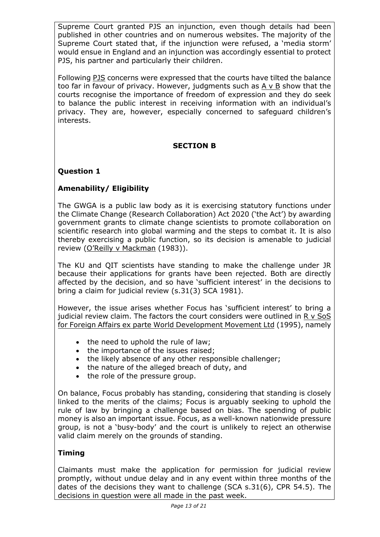Supreme Court granted PJS an injunction, even though details had been published in other countries and on numerous websites. The majority of the Supreme Court stated that, if the injunction were refused, a 'media storm' would ensue in England and an injunction was accordingly essential to protect PJS, his partner and particularly their children.

Following PJS concerns were expressed that the courts have tilted the balance too far in favour of privacy. However, judgments such as  $A \vee B$  show that the courts recognise the importance of freedom of expression and they do seek to balance the public interest in receiving information with an individual's privacy. They are, however, especially concerned to safeguard children's interests.

### **SECTION B**

### **Question 1**

# **Amenability/ Eligibility**

The GWGA is a public law body as it is exercising statutory functions under the Climate Change (Research Collaboration) Act 2020 ('the Act') by awarding government grants to climate change scientists to promote collaboration on scientific research into global warming and the steps to combat it. It is also thereby exercising a public function, so its decision is amenable to judicial review (O'Reilly v Mackman (1983)).

The KU and QIT scientists have standing to make the challenge under JR because their applications for grants have been rejected. Both are directly affected by the decision, and so have 'sufficient interest' in the decisions to bring a claim for judicial review (s.31(3) SCA 1981).

However, the issue arises whether Focus has 'sufficient interest' to bring a judicial review claim. The factors the court considers were outlined in R v SoS for Foreign Affairs ex parte World Development Movement Ltd (1995), namely

- the need to uphold the rule of law;
- the importance of the issues raised;
- the likely absence of any other responsible challenger;
- the nature of the alleged breach of duty, and
- the role of the pressure group.

On balance, Focus probably has standing, considering that standing is closely linked to the merits of the claims; Focus is arguably seeking to uphold the rule of law by bringing a challenge based on bias. The spending of public money is also an important issue. Focus, as a well-known nationwide pressure group, is not a 'busy-body' and the court is unlikely to reject an otherwise valid claim merely on the grounds of standing.

#### **Timing**

Claimants must make the application for permission for judicial review promptly, without undue delay and in any event within three months of the dates of the decisions they want to challenge (SCA s.31(6), CPR 54.5). The decisions in question were all made in the past week.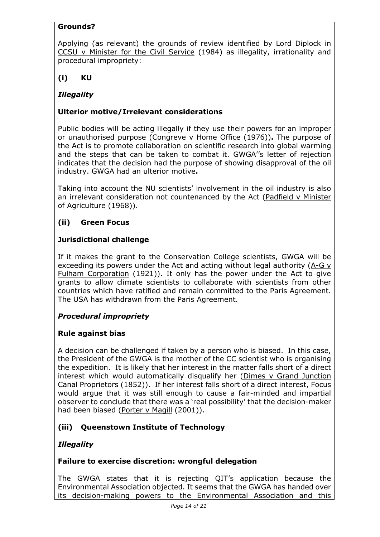# **Grounds?**

Applying (as relevant) the grounds of review identified by Lord Diplock in CCSU v Minister for the Civil Service (1984) as illegality, irrationality and procedural impropriety:

**(i) KU**

# *Illegality*

# **Ulterior motive/Irrelevant considerations**

Public bodies will be acting illegally if they use their powers for an improper or unauthorised purpose (Congreve v Home Office (1976))**.** The purpose of the Act is to promote collaboration on scientific research into global warming and the steps that can be taken to combat it. GWGA''s letter of rejection indicates that the decision had the purpose of showing disapproval of the oil industry. GWGA had an ulterior motive**.**

Taking into account the NU scientists' involvement in the oil industry is also an irrelevant consideration not countenanced by the Act (Padfield v Minister of Agriculture (1968)).

# **(ii) Green Focus**

# **Jurisdictional challenge**

If it makes the grant to the Conservation College scientists, GWGA will be exceeding its powers under the Act and acting without legal authority  $(A-Gy)$ Fulham Corporation (1921)). It only has the power under the Act to give grants to allow climate scientists to collaborate with scientists from other countries which have ratified and remain committed to the Paris Agreement. The USA has withdrawn from the Paris Agreement.

# *Procedural impropriety*

# **Rule against bias**

A decision can be challenged if taken by a person who is biased. In this case, the President of the GWGA is the mother of the CC scientist who is organising the expedition. It is likely that her interest in the matter falls short of a direct interest which would automatically disqualify her (Dimes v Grand Junction Canal Proprietors (1852)). If her interest falls short of a direct interest, Focus would argue that it was still enough to cause a fair-minded and impartial observer to conclude that there was a 'real possibility' that the decision-maker had been biased (Porter v Magill (2001)).

# **(iii) Queenstown Institute of Technology**

# *Illegality*

# **Failure to exercise discretion: wrongful delegation**

The GWGA states that it is rejecting QIT's application because the Environmental Association objected. It seems that the GWGA has handed over its decision-making powers to the Environmental Association and this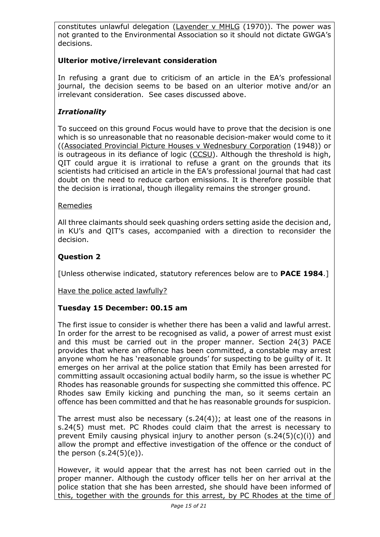constitutes unlawful delegation (Lavender v MHLG (1970)). The power was not granted to the Environmental Association so it should not dictate GWGA's decisions.

# **Ulterior motive/irrelevant consideration**

In refusing a grant due to criticism of an article in the EA's professional journal, the decision seems to be based on an ulterior motive and/or an irrelevant consideration. See cases discussed above.

# *Irrationality*

To succeed on this ground Focus would have to prove that the decision is one which is so unreasonable that no reasonable decision-maker would come to it ((Associated Provincial Picture Houses v Wednesbury Corporation (1948)) or is outrageous in its defiance of logic (CCSU). Although the threshold is high, QIT could argue it is irrational to refuse a grant on the grounds that its scientists had criticised an article in the EA's professional journal that had cast doubt on the need to reduce carbon emissions. It is therefore possible that the decision is irrational, though illegality remains the stronger ground.

### Remedies

All three claimants should seek quashing orders setting aside the decision and, in KU's and QIT's cases, accompanied with a direction to reconsider the decision.

# **Question 2**

[Unless otherwise indicated, statutory references below are to **PACE 1984**.]

Have the police acted lawfully?

# **Tuesday 15 December: 00.15 am**

The first issue to consider is whether there has been a valid and lawful arrest. In order for the arrest to be recognised as valid, a power of arrest must exist and this must be carried out in the proper manner. Section 24(3) PACE provides that where an offence has been committed, a constable may arrest anyone whom he has 'reasonable grounds' for suspecting to be guilty of it. It emerges on her arrival at the police station that Emily has been arrested for committing assault occasioning actual bodily harm, so the issue is whether PC Rhodes has reasonable grounds for suspecting she committed this offence. PC Rhodes saw Emily kicking and punching the man, so it seems certain an offence has been committed and that he has reasonable grounds for suspicion.

The arrest must also be necessary (s.24(4)); at least one of the reasons in s.24(5) must met. PC Rhodes could claim that the arrest is necessary to prevent Emily causing physical injury to another person (s.24(5)(c)(i)) and allow the prompt and effective investigation of the offence or the conduct of the person (s.24(5)(e)).

However, it would appear that the arrest has not been carried out in the proper manner. Although the custody officer tells her on her arrival at the police station that she has been arrested, she should have been informed of this, together with the grounds for this arrest, by PC Rhodes at the time of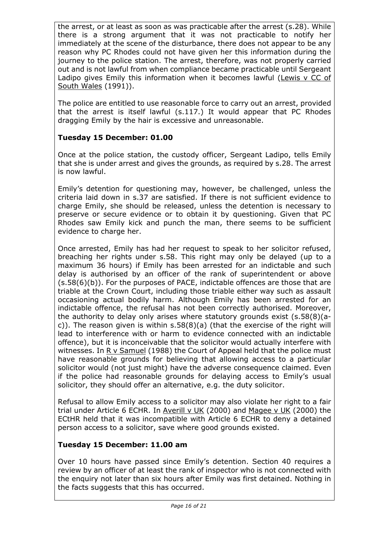the arrest, or at least as soon as was practicable after the arrest (s.28). While there is a strong argument that it was not practicable to notify her immediately at the scene of the disturbance, there does not appear to be any reason why PC Rhodes could not have given her this information during the journey to the police station. The arrest, therefore, was not properly carried out and is not lawful from when compliance became practicable until Sergeant Ladipo gives Emily this information when it becomes lawful (Lewis v CC of South Wales (1991)).

The police are entitled to use reasonable force to carry out an arrest, provided that the arrest is itself lawful (s.117.) It would appear that PC Rhodes dragging Emily by the hair is excessive and unreasonable.

# **Tuesday 15 December: 01.00**

Once at the police station, the custody officer, Sergeant Ladipo, tells Emily that she is under arrest and gives the grounds, as required by s.28. The arrest is now lawful.

Emily's detention for questioning may, however, be challenged, unless the criteria laid down in s.37 are satisfied. If there is not sufficient evidence to charge Emily, she should be released, unless the detention is necessary to preserve or secure evidence or to obtain it by questioning. Given that PC Rhodes saw Emily kick and punch the man, there seems to be sufficient evidence to charge her.

Once arrested, Emily has had her request to speak to her solicitor refused, breaching her rights under s.58. This right may only be delayed (up to a maximum 36 hours) if Emily has been arrested for an indictable and such delay is authorised by an officer of the rank of superintendent or above (s.58(6)(b)). For the purposes of PACE, indictable offences are those that are triable at the Crown Court, including those triable either way such as assault occasioning actual bodily harm. Although Emily has been arrested for an indictable offence, the refusal has not been correctly authorised. Moreover, the authority to delay only arises where statutory grounds exist (s.58(8)(ac)). The reason given is within s.58(8)(a) (that the exercise of the right will lead to interference with or harm to evidence connected with an indictable offence), but it is inconceivable that the solicitor would actually interfere with witnesses. In R v Samuel (1988) the Court of Appeal held that the police must have reasonable grounds for believing that allowing access to a particular solicitor would (not just might) have the adverse consequence claimed. Even if the police had reasonable grounds for delaying access to Emily's usual solicitor, they should offer an alternative, e.g. the duty solicitor.

Refusal to allow Emily access to a solicitor may also violate her right to a fair trial under Article 6 ECHR. In Averill v UK (2000) and Magee v UK (2000) the ECtHR held that it was incompatible with Article 6 ECHR to deny a detained person access to a solicitor, save where good grounds existed.

#### **Tuesday 15 December: 11.00 am**

Over 10 hours have passed since Emily's detention. Section 40 requires a review by an officer of at least the rank of inspector who is not connected with the enquiry not later than six hours after Emily was first detained. Nothing in the facts suggests that this has occurred.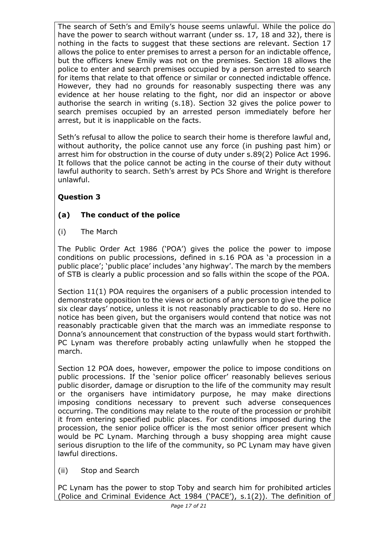The search of Seth's and Emily's house seems unlawful. While the police do have the power to search without warrant (under ss. 17, 18 and 32), there is nothing in the facts to suggest that these sections are relevant. Section 17 allows the police to enter premises to arrest a person for an indictable offence, but the officers knew Emily was not on the premises. Section 18 allows the police to enter and search premises occupied by a person arrested to search for items that relate to that offence or similar or connected indictable offence. However, they had no grounds for reasonably suspecting there was any evidence at her house relating to the fight, nor did an inspector or above authorise the search in writing (s.18). Section 32 gives the police power to search premises occupied by an arrested person immediately before her arrest, but it is inapplicable on the facts.

Seth's refusal to allow the police to search their home is therefore lawful and, without authority, the police cannot use any force (in pushing past him) or arrest him for obstruction in the course of duty under s.89(2) Police Act 1996. It follows that the police cannot be acting in the course of their duty without lawful authority to search. Seth's arrest by PCs Shore and Wright is therefore unlawful.

# **Question 3**

# **(a) The conduct of the police**

(i) The March

The Public Order Act 1986 ('POA') gives the police the power to impose conditions on public processions, defined in s.16 POA as 'a procession in a public place'; 'public place' includes 'any highway'. The march by the members of STB is clearly a public procession and so falls within the scope of the POA.

Section 11(1) POA requires the organisers of a public procession intended to demonstrate opposition to the views or actions of any person to give the police six clear days' notice, unless it is not reasonably practicable to do so. Here no notice has been given, but the organisers would contend that notice was not reasonably practicable given that the march was an immediate response to Donna's announcement that construction of the bypass would start forthwith. PC Lynam was therefore probably acting unlawfully when he stopped the march.

Section 12 POA does, however, empower the police to impose conditions on public processions. If the 'senior police officer' reasonably believes serious public disorder, damage or disruption to the life of the community may result or the organisers have intimidatory purpose, he may make directions imposing conditions necessary to prevent such adverse consequences occurring. The conditions may relate to the route of the procession or prohibit it from entering specified public places. For conditions imposed during the procession, the senior police officer is the most senior officer present which would be PC Lynam. Marching through a busy shopping area might cause serious disruption to the life of the community, so PC Lynam may have given lawful directions.

(ii) Stop and Search

PC Lynam has the power to stop Toby and search him for prohibited articles (Police and Criminal Evidence Act 1984 ('PACE'), s.1(2)). The definition of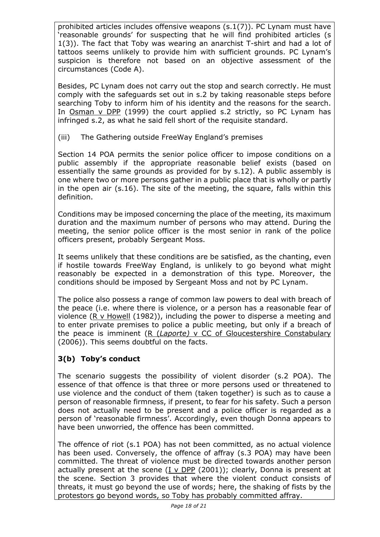prohibited articles includes offensive weapons (s.1(7)). PC Lynam must have 'reasonable grounds' for suspecting that he will find prohibited articles (s 1(3)). The fact that Toby was wearing an anarchist T-shirt and had a lot of tattoos seems unlikely to provide him with sufficient grounds. PC Lynam's suspicion is therefore not based on an objective assessment of the circumstances (Code A).

Besides, PC Lynam does not carry out the stop and search correctly. He must comply with the safeguards set out in s.2 by taking reasonable steps before searching Toby to inform him of his identity and the reasons for the search. In Osman v DPP (1999) the court applied s.2 strictly, so PC Lynam has infringed s.2, as what he said fell short of the requisite standard.

(iii) The Gathering outside FreeWay England's premises

Section 14 POA permits the senior police officer to impose conditions on a public assembly if the appropriate reasonable belief exists (based on essentially the same grounds as provided for by s.12). A public assembly is one where two or more persons gather in a public place that is wholly or partly in the open air (s.16). The site of the meeting, the square, falls within this definition.

Conditions may be imposed concerning the place of the meeting, its maximum duration and the maximum number of persons who may attend. During the meeting, the senior police officer is the most senior in rank of the police officers present, probably Sergeant Moss.

It seems unlikely that these conditions are be satisfied, as the chanting, even if hostile towards FreeWay England, is unlikely to go beyond what might reasonably be expected in a demonstration of this type. Moreover, the conditions should be imposed by Sergeant Moss and not by PC Lynam.

The police also possess a range of common law powers to deal with breach of the peace (i.e. where there is violence, or a person has a reasonable fear of violence (R v Howell (1982)), including the power to disperse a meeting and to enter private premises to police a public meeting, but only if a breach of the peace is imminent (R (*Laporte)* v CC of Gloucestershire Constabulary (2006)). This seems doubtful on the facts.

# **3(b) Toby's conduct**

The scenario suggests the possibility of violent disorder (s.2 POA). The essence of that offence is that three or more persons used or threatened to use violence and the conduct of them (taken together) is such as to cause a person of reasonable firmness, if present, to fear for his safety. Such a person does not actually need to be present and a police officer is regarded as a person of 'reasonable firmness'. Accordingly, even though Donna appears to have been unworried, the offence has been committed.

The offence of riot (s.1 POA) has not been committed, as no actual violence has been used. Conversely, the offence of affray (s.3 POA) may have been committed. The threat of violence must be directed towards another person actually present at the scene  $(I \vee DPP (2001))$ ; clearly, Donna is present at the scene. Section 3 provides that where the violent conduct consists of threats, it must go beyond the use of words; here, the shaking of fists by the protestors go beyond words, so Toby has probably committed affray.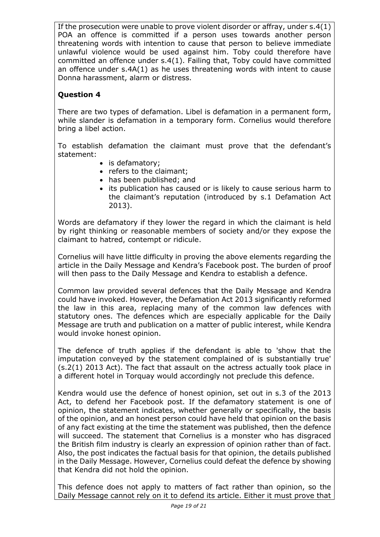If the prosecution were unable to prove violent disorder or affray, under s.4(1) POA an offence is committed if a person uses towards another person threatening words with intention to cause that person to believe immediate unlawful violence would be used against him. Toby could therefore have committed an offence under s.4(1). Failing that, Toby could have committed an offence under s.4A(1) as he uses threatening words with intent to cause Donna harassment, alarm or distress.

# **Question 4**

There are two types of defamation. Libel is defamation in a permanent form, while slander is defamation in a temporary form. Cornelius would therefore bring a libel action.

To establish defamation the claimant must prove that the defendant's statement:

- is defamatory;
- refers to the claimant;
- has been published; and
- its publication has caused or is likely to cause serious harm to the claimant's reputation (introduced by s.1 Defamation Act 2013).

Words are defamatory if they lower the regard in which the claimant is held by right thinking or reasonable members of society and/or they expose the claimant to hatred, contempt or ridicule.

Cornelius will have little difficulty in proving the above elements regarding the article in the Daily Message and Kendra's Facebook post. The burden of proof will then pass to the Daily Message and Kendra to establish a defence.

Common law provided several defences that the Daily Message and Kendra could have invoked. However, the Defamation Act 2013 significantly reformed the law in this area, replacing many of the common law defences with statutory ones. The defences which are especially applicable for the Daily Message are truth and publication on a matter of public interest, while Kendra would invoke honest opinion.

The defence of truth applies if the defendant is able to 'show that the imputation conveyed by the statement complained of is substantially true' (s.2(1) 2013 Act). The fact that assault on the actress actually took place in a different hotel in Torquay would accordingly not preclude this defence.

Kendra would use the defence of honest opinion, set out in s.3 of the 2013 Act, to defend her Facebook post. If the defamatory statement is one of opinion, the statement indicates, whether generally or specifically, the basis of the opinion, and an honest person could have held that opinion on the basis of any fact existing at the time the statement was published, then the defence will succeed. The statement that Cornelius is a monster who has disgraced the British film industry is clearly an expression of opinion rather than of fact. Also, the post indicates the factual basis for that opinion, the details published in the Daily Message. However, Cornelius could defeat the defence by showing that Kendra did not hold the opinion.

This defence does not apply to matters of fact rather than opinion, so the Daily Message cannot rely on it to defend its article. Either it must prove that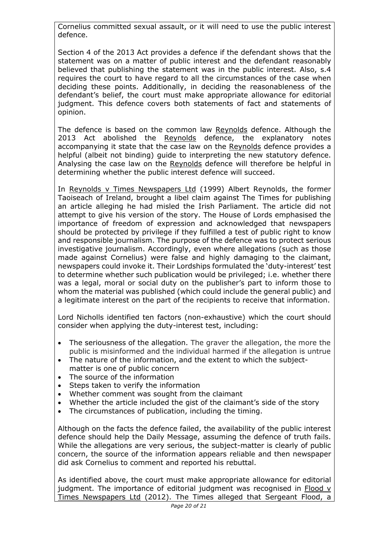Cornelius committed sexual assault, or it will need to use the public interest defence.

Section 4 of the 2013 Act provides a defence if the defendant shows that the statement was on a matter of public interest and the defendant reasonably believed that publishing the statement was in the public interest. Also, s.4 requires the court to have regard to all the circumstances of the case when deciding these points. Additionally, in deciding the reasonableness of the defendant's belief, the court must make appropriate allowance for editorial judgment. This defence covers both statements of fact and statements of opinion.

The defence is based on the common law Reynolds defence. Although the 2013 Act abolished the Reynolds defence, the explanatory notes accompanying it state that the case law on the Reynolds defence provides a helpful (albeit not binding) guide to interpreting the new statutory defence. Analysing the case law on the Reynolds defence will therefore be helpful in determining whether the public interest defence will succeed.

In Reynolds v Times Newspapers Ltd (1999) Albert Reynolds, the former Taoiseach of Ireland, brought a libel claim against The Times for publishing an article alleging he had misled the Irish Parliament. The article did not attempt to give his version of the story. The House of Lords emphasised the importance of freedom of expression and acknowledged that newspapers should be protected by privilege if they fulfilled a test of public right to know and responsible journalism. The purpose of the defence was to protect serious investigative journalism. Accordingly, even where allegations (such as those made against Cornelius) were false and highly damaging to the claimant, newspapers could invoke it. Their Lordships formulated the 'duty-interest' test to determine whether such publication would be privileged; i.e. whether there was a legal, moral or social duty on the publisher's part to inform those to whom the material was published (which could include the general public) and a legitimate interest on the part of the recipients to receive that information.

Lord Nicholls identified ten factors (non-exhaustive) which the court should consider when applying the duty-interest test, including:

- The seriousness of the allegation. The graver the allegation, the more the public is misinformed and the individual harmed if the allegation is untrue
- The nature of the information, and the extent to which the subjectmatter is one of public concern
- The source of the information
- Steps taken to verify the information
- Whether comment was sought from the claimant
- Whether the article included the gist of the claimant's side of the story
- The circumstances of publication, including the timing.

Although on the facts the defence failed, the availability of the public interest defence should help the Daily Message, assuming the defence of truth fails. While the allegations are very serious, the subject-matter is clearly of public concern, the source of the information appears reliable and then newspaper did ask Cornelius to comment and reported his rebuttal.

As identified above, the court must make appropriate allowance for editorial judgment. The importance of editorial judgment was recognised in  $Flood v$ Times Newspapers Ltd (2012). The Times alleged that Sergeant Flood, a